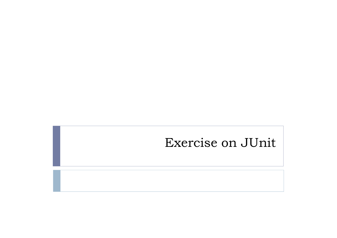#### Exercise on JUnit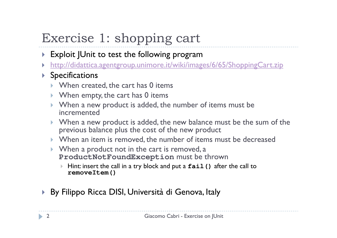# Exercise 1: shopping cart

- $\blacktriangleright$  Exploit JUnit to test the following program
- http://didattica.agentgroup.unimore.it/wiki/images/6/65/ShoppingCart.zip $\blacktriangleright$

#### $\blacktriangleright$  Specifications

- $\blacktriangleright$  When created, the cart has 0 items
- $\blacktriangleright$  When empty, the cart has 0 items
- ▶ When a new product is added, the number of items must be incremented
- ▶ When a new product is added, the new balance must be the sum of the previous balance plus the cost of the new product
- When an item is removed, the number of items must be decreased
- $\triangleright$  When a product not in the cart is removed, a **ProductNotFoundException** must be thrown
	- Þ Hint: insert the call in a try block and put a **fail()** after the call to **removeItem()**
- By Filippo Ricca DISI, Università di Genova, Italy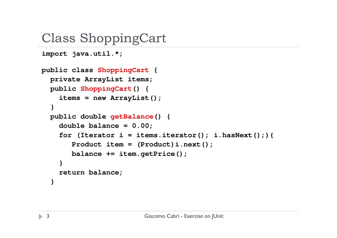#### Class ShoppingCart

```
import java.util.*;
```

```
public class ShoppingCart
{private ArrayList items;
 public ShoppingCart() {
items = new ArrayList();
  }
public double getBalance() {double balance = 0.00;
for (Iterator i = items.iterator(); i.hasNext();){Product item = (Product)i.next();balance += item.getPrice();}
return balance;
  }
```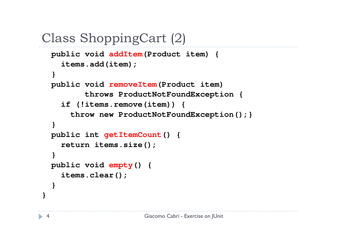```
Class ShoppingCart (2)
```

```
public void addItem(Product item) {
 items.add(item);}
public void removeItem(Product item)
       throws ProductNotFoundException {
 if (!items.remove(item)) {
    throw new ProductNotFoundException();}
}
public int getItemCount() {
 return items.size();
}
public void empty() {
 items.clear();}
```
**}**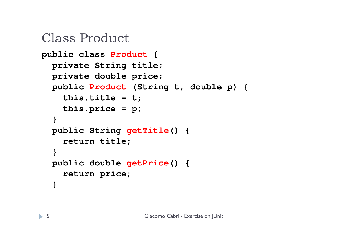#### Class Product

```
public class Product {
 private String title;
 private double price;
public Product (String t, double p) {
   this.title = t;this. price = p;}
public String getTitle() {
    return title;
  }
public double getPrice() {return price;
  }
```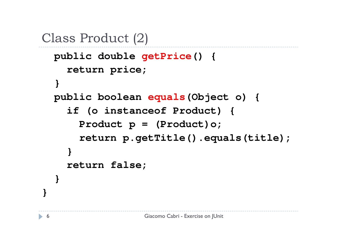```
Class Product (2)public double getPrice() {return price;
  }
public boolean equals(Object o) {
    if (o instanceof Product) {
      Product p = (Product)o;return p.getTitle().equals(title);
    }return false;
  }}
```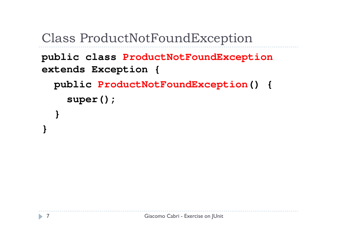Class ProductNotFoundException

```
public class ProductNotFoundException
extends Exception {
 public ProductNotFoundException() {super();}
```
**}**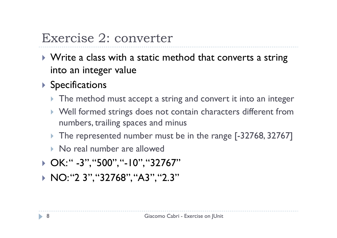### Exercise 2: converter

- $\blacktriangleright$  Write a class with a static method that converts a string into an integer value
- ▶ Specifications
	- $\blacktriangleright$  The method must accept a string and convert it into an integer
	- Well formed strings does not contain characters different from numbers, trailing spaces and minus
	- The represented number must be in the range [-32768, 32767]
	- $\blacktriangleright$  No real number are allowed
- ▶ OK:" -3","500","-10","32767"
- ▶ NO:"2 3","32768","A3","2.3"